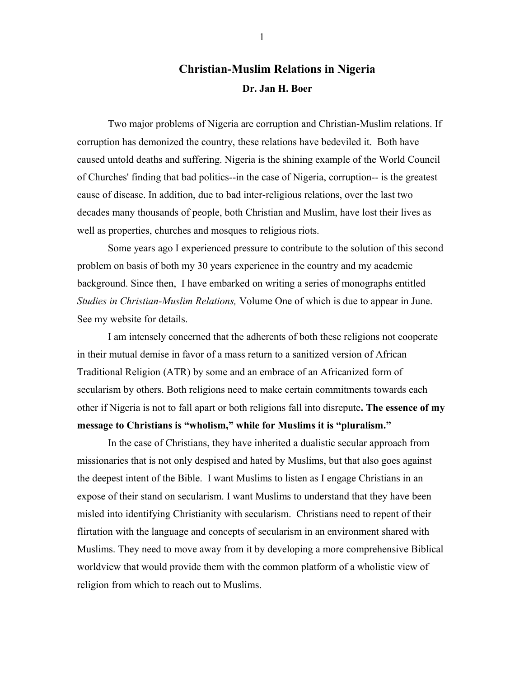## **Christian-Muslim Relations in Nigeria Dr. Jan H. Boer**

Two major problems of Nigeria are corruption and Christian-Muslim relations. If corruption has demonized the country, these relations have bedeviled it. Both have caused untold deaths and suffering. Nigeria is the shining example of the World Council of Churches' finding that bad politics--in the case of Nigeria, corruption-- is the greatest cause of disease. In addition, due to bad inter-religious relations, over the last two decades many thousands of people, both Christian and Muslim, have lost their lives as well as properties, churches and mosques to religious riots.

Some years ago I experienced pressure to contribute to the solution of this second problem on basis of both my 30 years experience in the country and my academic background. Since then, I have embarked on writing a series of monographs entitled *Studies in Christian-Muslim Relations,* Volume One of which is due to appear in June. See my website for details.

I am intensely concerned that the adherents of both these religions not cooperate in their mutual demise in favor of a mass return to a sanitized version of African Traditional Religion (ATR) by some and an embrace of an Africanized form of secularism by others. Both religions need to make certain commitments towards each other if Nigeria is not to fall apart or both religions fall into disrepute**. The essence of my message to Christians is "wholism," while for Muslims it is "pluralism."**

In the case of Christians, they have inherited a dualistic secular approach from missionaries that is not only despised and hated by Muslims, but that also goes against the deepest intent of the Bible. I want Muslims to listen as I engage Christians in an expose of their stand on secularism. I want Muslims to understand that they have been misled into identifying Christianity with secularism. Christians need to repent of their flirtation with the language and concepts of secularism in an environment shared with Muslims. They need to move away from it by developing a more comprehensive Biblical worldview that would provide them with the common platform of a wholistic view of religion from which to reach out to Muslims.

1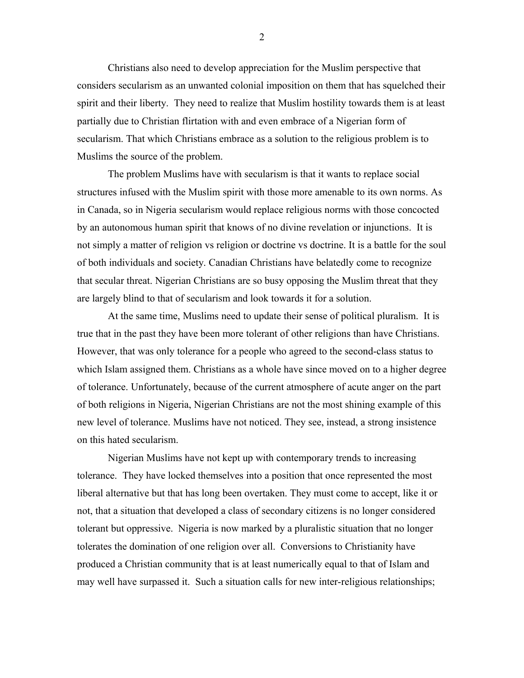Christians also need to develop appreciation for the Muslim perspective that considers secularism as an unwanted colonial imposition on them that has squelched their spirit and their liberty. They need to realize that Muslim hostility towards them is at least partially due to Christian flirtation with and even embrace of a Nigerian form of secularism. That which Christians embrace as a solution to the religious problem is to Muslims the source of the problem.

The problem Muslims have with secularism is that it wants to replace social structures infused with the Muslim spirit with those more amenable to its own norms. As in Canada, so in Nigeria secularism would replace religious norms with those concocted by an autonomous human spirit that knows of no divine revelation or injunctions. It is not simply a matter of religion vs religion or doctrine vs doctrine. It is a battle for the soul of both individuals and society. Canadian Christians have belatedly come to recognize that secular threat. Nigerian Christians are so busy opposing the Muslim threat that they are largely blind to that of secularism and look towards it for a solution.

At the same time, Muslims need to update their sense of political pluralism. It is true that in the past they have been more tolerant of other religions than have Christians. However, that was only tolerance for a people who agreed to the second-class status to which Islam assigned them. Christians as a whole have since moved on to a higher degree of tolerance. Unfortunately, because of the current atmosphere of acute anger on the part of both religions in Nigeria, Nigerian Christians are not the most shining example of this new level of tolerance. Muslims have not noticed. They see, instead, a strong insistence on this hated secularism.

Nigerian Muslims have not kept up with contemporary trends to increasing tolerance. They have locked themselves into a position that once represented the most liberal alternative but that has long been overtaken. They must come to accept, like it or not, that a situation that developed a class of secondary citizens is no longer considered tolerant but oppressive. Nigeria is now marked by a pluralistic situation that no longer tolerates the domination of one religion over all. Conversions to Christianity have produced a Christian community that is at least numerically equal to that of Islam and may well have surpassed it. Such a situation calls for new inter-religious relationships;

2